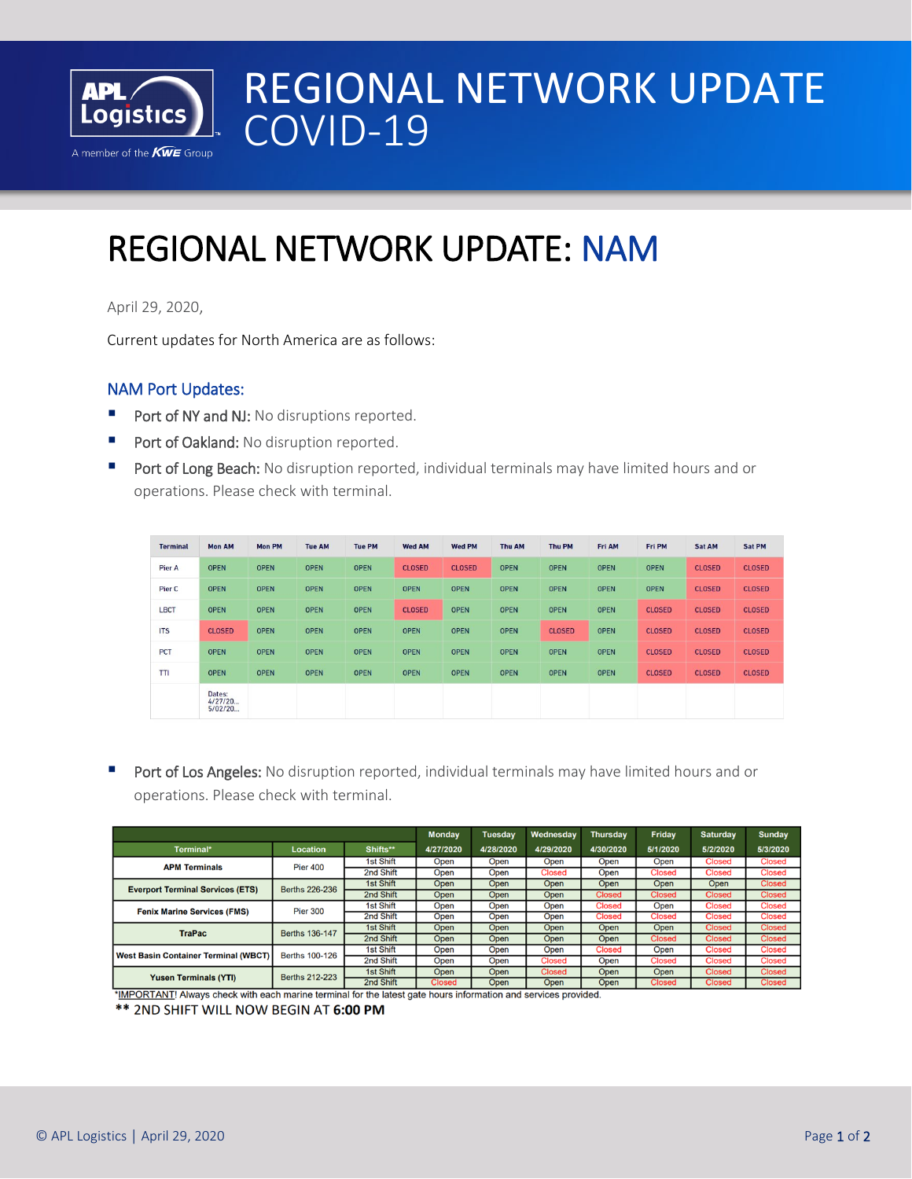

# REGIONAL NETWORK UPDATE COVID-19

## I REGIONAL NETWORK UPDATE: NAM

April 29, 2020,

Current updates for North America are as follows:

### NAM Port Updates:

- Port of NY and NJ: No disruptions reported.
- Port of Oakland: No disruption reported.
- Port of Long Beach: No disruption reported, individual terminals may have limited hours and or operations. Please check with terminal.

| <b>Terminal</b> | <b>Mon AM</b>                | <b>Mon PM</b> | <b>Tue AM</b> | <b>Tue PM</b> | <b>Wed AM</b> | <b>Wed PM</b> | <b>Thu AM</b> | <b>Thu PM</b> | Fri AM      | Fri PM        | Sat AM        | Sat PM        |
|-----------------|------------------------------|---------------|---------------|---------------|---------------|---------------|---------------|---------------|-------------|---------------|---------------|---------------|
| Pier A          | <b>OPEN</b>                  | <b>OPEN</b>   | <b>OPEN</b>   | <b>OPEN</b>   | <b>CLOSED</b> | <b>CLOSED</b> | <b>OPEN</b>   | <b>OPEN</b>   | <b>OPEN</b> | <b>OPEN</b>   | <b>CLOSED</b> | <b>CLOSED</b> |
| Pier C          | <b>OPEN</b>                  | <b>OPEN</b>   | <b>OPEN</b>   | <b>OPEN</b>   | <b>OPEN</b>   | <b>OPEN</b>   | <b>OPEN</b>   | <b>OPEN</b>   | <b>OPEN</b> | <b>OPEN</b>   | <b>CLOSED</b> | <b>CLOSED</b> |
| <b>LBCT</b>     | <b>OPEN</b>                  | <b>OPEN</b>   | <b>OPEN</b>   | <b>OPEN</b>   | <b>CLOSED</b> | <b>OPEN</b>   | <b>OPEN</b>   | <b>OPEN</b>   | <b>OPEN</b> | <b>CLOSED</b> | <b>CLOSED</b> | <b>CLOSED</b> |
| <b>ITS</b>      | <b>CLOSED</b>                | <b>OPEN</b>   | <b>OPEN</b>   | <b>OPEN</b>   | <b>OPEN</b>   | <b>OPEN</b>   | <b>OPEN</b>   | <b>CLOSED</b> | <b>OPEN</b> | <b>CLOSED</b> | <b>CLOSED</b> | <b>CLOSED</b> |
| <b>PCT</b>      | <b>OPEN</b>                  | <b>OPEN</b>   | <b>OPEN</b>   | <b>OPEN</b>   | <b>OPEN</b>   | <b>OPEN</b>   | <b>OPEN</b>   | <b>OPEN</b>   | <b>OPEN</b> | <b>CLOSED</b> | <b>CLOSED</b> | <b>CLOSED</b> |
| TTI             | <b>OPEN</b>                  | <b>OPEN</b>   | <b>OPEN</b>   | <b>OPEN</b>   | <b>OPEN</b>   | <b>OPEN</b>   | <b>OPEN</b>   | <b>OPEN</b>   | <b>OPEN</b> | <b>CLOSED</b> | <b>CLOSED</b> | <b>CLOSED</b> |
|                 | Dates:<br>4/27/20<br>5/02/20 |               |               |               |               |               |               |               |             |               |               |               |

Port of Los Angeles: No disruption reported, individual terminals may have limited hours and or operations. Please check with terminal.

|                                             | <b>Monday</b>         | <b>Tuesday</b>   | Wednesday     | <b>Thursday</b> | <b>Friday</b> | <b>Saturday</b> | <b>Sunday</b> |               |               |
|---------------------------------------------|-----------------------|------------------|---------------|-----------------|---------------|-----------------|---------------|---------------|---------------|
| Terminal*                                   | <b>Location</b>       | Shifts**         | 4/27/2020     | 4/28/2020       | 4/29/2020     | 4/30/2020       | 5/1/2020      | 5/2/2020      | 5/3/2020      |
| <b>APM Terminals</b>                        | <b>Pier 400</b>       | <b>1st Shift</b> | Open          | Open            | Open          | Open            | Open          | <b>Closed</b> | <b>Closed</b> |
|                                             |                       | 2nd Shift        | Open          | Open            | <b>Closed</b> | Open            | <b>Closed</b> | <b>Closed</b> | <b>Closed</b> |
| <b>Everport Terminal Services (ETS)</b>     | Berths 226-236        | <b>1st Shift</b> | Open          | Open            | Open          | Open            | Open          | Open          | <b>Closed</b> |
|                                             |                       | 2nd Shift        | Open          | Open            | Open          | <b>Closed</b>   | <b>Closed</b> | <b>Closed</b> | <b>Closed</b> |
| <b>Fenix Marine Services (FMS)</b>          | <b>Pier 300</b>       | <b>1st Shift</b> | Open          | Open            | Open          | <b>Closed</b>   | Open          | <b>Closed</b> | <b>Closed</b> |
|                                             |                       | 2nd Shift        | Open          | Open            | Open          | <b>Closed</b>   | <b>Closed</b> | <b>Closed</b> | <b>Closed</b> |
| <b>TraPac</b>                               | Berths 136-147        | <b>1st Shift</b> | Open          | Open            | Open          | Open            | Open          | <b>Closed</b> | <b>Closed</b> |
|                                             |                       | 2nd Shift        | Open          | Open            | Open          | Open            | <b>Closed</b> | <b>Closed</b> | <b>Closed</b> |
| <b>West Basin Container Terminal (WBCT)</b> | <b>Berths 100-126</b> | <b>1st Shift</b> | Open          | Open            | Open          | <b>Closed</b>   | Open          | <b>Closed</b> | <b>Closed</b> |
|                                             |                       | 2nd Shift        | Open          | Open            | <b>Closed</b> | Open            | <b>Closed</b> | <b>Closed</b> | <b>Closed</b> |
| <b>Yusen Terminals (YTI)</b>                | Berths 212-223        | <b>1st Shift</b> | Open          | Open            | <b>Closed</b> | Open            | Open          | <b>Closed</b> | <b>Closed</b> |
|                                             |                       | 2nd Shift        | <b>Closed</b> | Open            | Open          | Open            | <b>Closed</b> | <b>Closed</b> | <b>Closed</b> |

\*IMPORTANT! Always check with each marine terminal for the latest gate hours information and services provided.

\*\* 2ND SHIFT WILL NOW BEGIN AT 6:00 PM